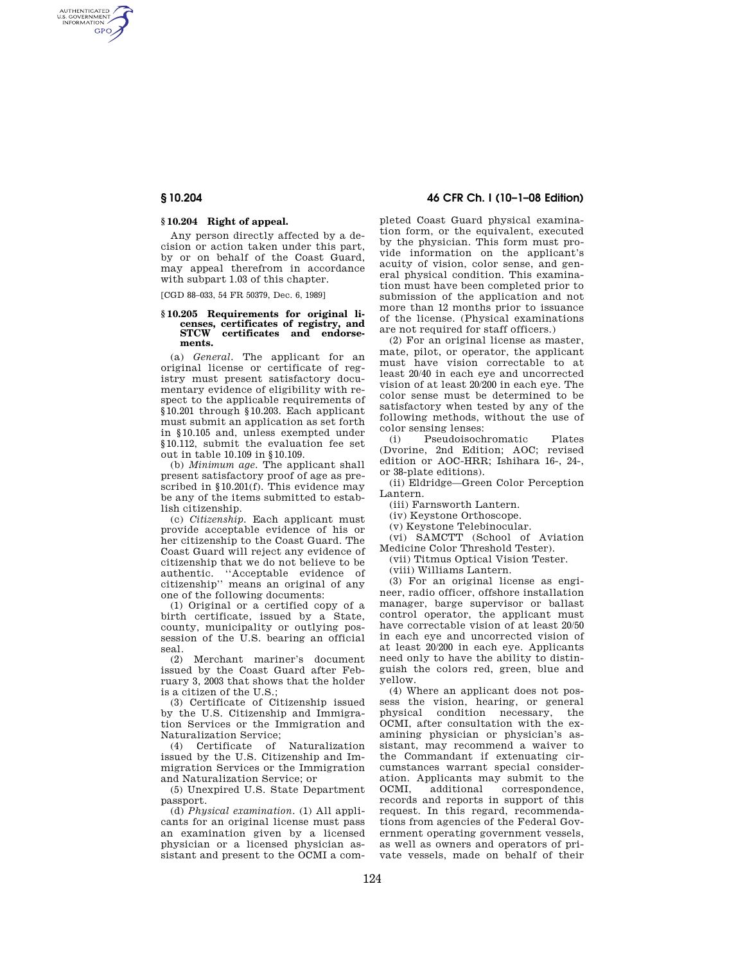AUTHENTICATED<br>U.S. GOVERNMENT<br>INFORMATION **GPO** 

## **§ 10.204 Right of appeal.**

Any person directly affected by a decision or action taken under this part, by or on behalf of the Coast Guard, may appeal therefrom in accordance with subpart 1.03 of this chapter.

[CGD 88–033, 54 FR 50379, Dec. 6, 1989]

# **§ 10.205 Requirements for original licenses, certificates of registry, and STCW certificates and endorsements.**

(a) *General.* The applicant for an original license or certificate of registry must present satisfactory documentary evidence of eligibility with respect to the applicable requirements of §10.201 through §10.203. Each applicant must submit an application as set forth in §10.105 and, unless exempted under §10.112, submit the evaluation fee set out in table 10.109 in §10.109.

(b) *Minimum age.* The applicant shall present satisfactory proof of age as prescribed in §10.201(f). This evidence may be any of the items submitted to establish citizenship.

(c) *Citizenship.* Each applicant must provide acceptable evidence of his or her citizenship to the Coast Guard. The Coast Guard will reject any evidence of citizenship that we do not believe to be authentic. ''Acceptable evidence of citizenship'' means an original of any one of the following documents:

(1) Original or a certified copy of a birth certificate, issued by a State, county, municipality or outlying possession of the U.S. bearing an official seal.

(2) Merchant mariner's document issued by the Coast Guard after February 3, 2003 that shows that the holder is a citizen of the U.S.;

(3) Certificate of Citizenship issued by the U.S. Citizenship and Immigration Services or the Immigration and Naturalization Service;

(4) Certificate of Naturalization issued by the U.S. Citizenship and Immigration Services or the Immigration and Naturalization Service; or

(5) Unexpired U.S. State Department passport.

(d) *Physical examination.* (1) All applicants for an original license must pass an examination given by a licensed physician or a licensed physician assistant and present to the OCMI a com-

## **§ 10.204 46 CFR Ch. I (10–1–08 Edition)**

pleted Coast Guard physical examination form, or the equivalent, executed by the physician. This form must provide information on the applicant's acuity of vision, color sense, and general physical condition. This examination must have been completed prior to submission of the application and not more than 12 months prior to issuance of the license. (Physical examinations are not required for staff officers.)

(2) For an original license as master, mate, pilot, or operator, the applicant must have vision correctable to at least 20/40 in each eye and uncorrected vision of at least 20/200 in each eye. The color sense must be determined to be satisfactory when tested by any of the following methods, without the use of color sensing lenses:

(i) Pseudoisochromatic Plates (Dvorine, 2nd Edition; AOC; revised edition or AOC-HRR; Ishihara 16-, 24-, or 38-plate editions).

(ii) Eldridge—Green Color Perception Lantern.

(iii) Farnsworth Lantern.

(iv) Keystone Orthoscope.

(v) Keystone Telebinocular.

(vi) SAMCTT (School of Aviation Medicine Color Threshold Tester).

(vii) Titmus Optical Vision Tester.

(viii) Williams Lantern.

(3) For an original license as engineer, radio officer, offshore installation manager, barge supervisor or ballast control operator, the applicant must have correctable vision of at least 20/50 in each eye and uncorrected vision of at least 20/200 in each eye. Applicants need only to have the ability to distinguish the colors red, green, blue and yellow.

(4) Where an applicant does not possess the vision, hearing, or general physical condition necessary, the OCMI, after consultation with the examining physician or physician's assistant, may recommend a waiver to the Commandant if extenuating circumstances warrant special consideration. Applicants may submit to the OCMI, additional correspondence. OCMI, additional correspondence, records and reports in support of this request. In this regard, recommendations from agencies of the Federal Government operating government vessels, as well as owners and operators of private vessels, made on behalf of their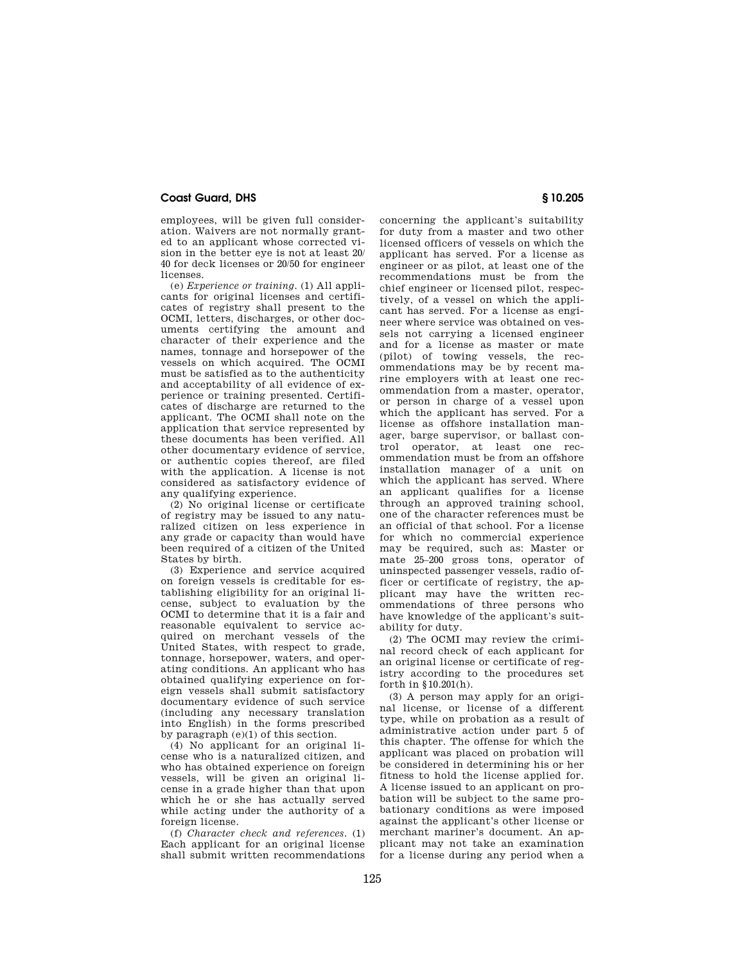## **Coast Guard, DHS § 10.205**

employees, will be given full consideration. Waivers are not normally granted to an applicant whose corrected vision in the better eye is not at least 20/ 40 for deck licenses or 20/50 for engineer licenses.

(e) *Experience or training.* (1) All applicants for original licenses and certificates of registry shall present to the OCMI, letters, discharges, or other documents certifying the amount and character of their experience and the names, tonnage and horsepower of the vessels on which acquired. The OCMI must be satisfied as to the authenticity and acceptability of all evidence of experience or training presented. Certificates of discharge are returned to the applicant. The OCMI shall note on the application that service represented by these documents has been verified. All other documentary evidence of service, or authentic copies thereof, are filed with the application. A license is not considered as satisfactory evidence of any qualifying experience.

(2) No original license or certificate of registry may be issued to any naturalized citizen on less experience in any grade or capacity than would have been required of a citizen of the United States by birth.

(3) Experience and service acquired on foreign vessels is creditable for establishing eligibility for an original license, subject to evaluation by the OCMI to determine that it is a fair and reasonable equivalent to service acquired on merchant vessels of the United States, with respect to grade, tonnage, horsepower, waters, and operating conditions. An applicant who has obtained qualifying experience on foreign vessels shall submit satisfactory documentary evidence of such service (including any necessary translation into English) in the forms prescribed by paragraph (e)(1) of this section.

(4) No applicant for an original license who is a naturalized citizen, and who has obtained experience on foreign vessels, will be given an original license in a grade higher than that upon which he or she has actually served while acting under the authority of a foreign license.

(f) *Character check and references.* (1) Each applicant for an original license shall submit written recommendations

concerning the applicant's suitability for duty from a master and two other licensed officers of vessels on which the applicant has served. For a license as engineer or as pilot, at least one of the recommendations must be from the chief engineer or licensed pilot, respectively, of a vessel on which the applicant has served. For a license as engineer where service was obtained on vessels not carrying a licensed engineer and for a license as master or mate (pilot) of towing vessels, the recommendations may be by recent marine employers with at least one recommendation from a master, operator, or person in charge of a vessel upon which the applicant has served. For a license as offshore installation manager, barge supervisor, or ballast control operator, at least one recommendation must be from an offshore installation manager of a unit on which the applicant has served. Where an applicant qualifies for a license through an approved training school, one of the character references must be an official of that school. For a license for which no commercial experience may be required, such as: Master or mate 25–200 gross tons, operator of uninspected passenger vessels, radio officer or certificate of registry, the applicant may have the written recommendations of three persons who have knowledge of the applicant's suitability for duty.

(2) The OCMI may review the criminal record check of each applicant for an original license or certificate of registry according to the procedures set forth in §10.201(h).

(3) A person may apply for an original license, or license of a different type, while on probation as a result of administrative action under part 5 of this chapter. The offense for which the applicant was placed on probation will be considered in determining his or her fitness to hold the license applied for. A license issued to an applicant on probation will be subject to the same probationary conditions as were imposed against the applicant's other license or merchant mariner's document. An applicant may not take an examination for a license during any period when a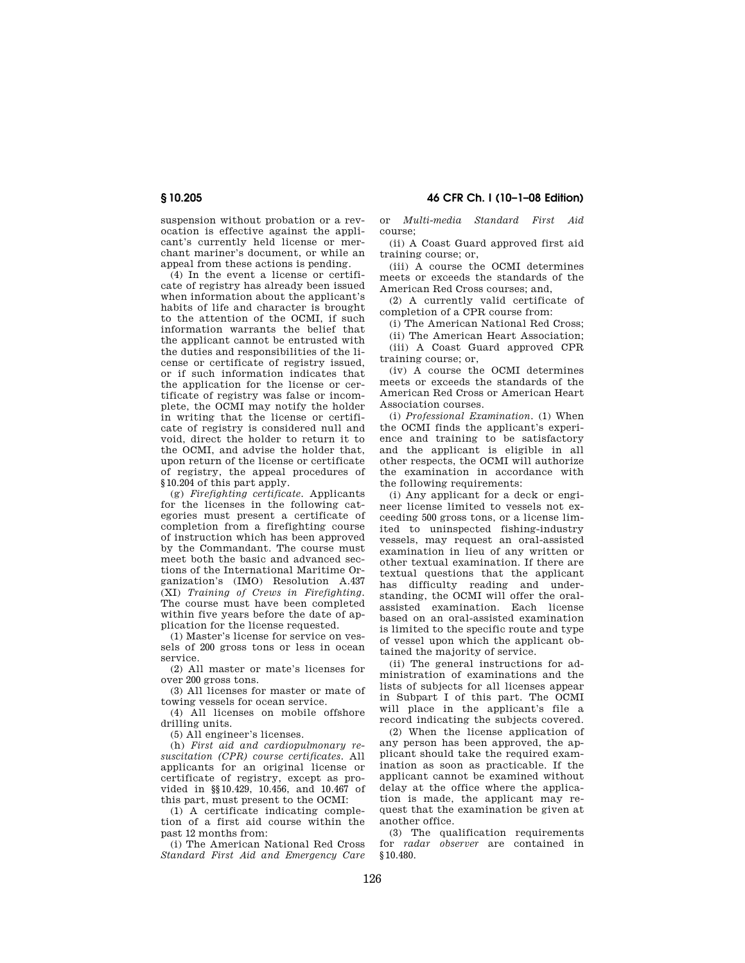suspension without probation or a revocation is effective against the applicant's currently held license or merchant mariner's document, or while an appeal from these actions is pending.

(4) In the event a license or certificate of registry has already been issued when information about the applicant's habits of life and character is brought to the attention of the OCMI, if such information warrants the belief that the applicant cannot be entrusted with the duties and responsibilities of the license or certificate of registry issued, or if such information indicates that the application for the license or certificate of registry was false or incomplete, the OCMI may notify the holder in writing that the license or certificate of registry is considered null and void, direct the holder to return it to the OCMI, and advise the holder that, upon return of the license or certificate of registry, the appeal procedures of §10.204 of this part apply.

(g) *Firefighting certificate.* Applicants for the licenses in the following categories must present a certificate of completion from a firefighting course of instruction which has been approved by the Commandant. The course must meet both the basic and advanced sections of the International Maritime Organization's (IMO) Resolution A.437 (XI) *Training of Crews in Firefighting.*  The course must have been completed within five years before the date of application for the license requested.

(1) Master's license for service on vessels of 200 gross tons or less in ocean service.

(2) All master or mate's licenses for over 200 gross tons.

(3) All licenses for master or mate of towing vessels for ocean service.

(4) All licenses on mobile offshore drilling units.

(5) All engineer's licenses.

(h) *First aid and cardiopulmonary resuscitation (CPR) course certificates.* All applicants for an original license or certificate of registry, except as provided in §§10.429, 10.456, and 10.467 of this part, must present to the OCMI:

(1) A certificate indicating completion of a first aid course within the past 12 months from:

(i) The American National Red Cross *Standard First Aid and Emergency Care*  or *Multi-media Standard First Aid*  course;

(ii) A Coast Guard approved first aid training course; or,

(iii) A course the OCMI determines meets or exceeds the standards of the American Red Cross courses; and,

(2) A currently valid certificate of completion of a CPR course from:

(i) The American National Red Cross;

(ii) The American Heart Association; (iii) A Coast Guard approved CPR training course; or,

(iv) A course the OCMI determines meets or exceeds the standards of the American Red Cross or American Heart Association courses.

(i) *Professional Examination.* (1) When the OCMI finds the applicant's experience and training to be satisfactory and the applicant is eligible in all other respects, the OCMI will authorize the examination in accordance with the following requirements:

(i) Any applicant for a deck or engineer license limited to vessels not exceeding 500 gross tons, or a license limited to uninspected fishing-industry vessels, may request an oral-assisted examination in lieu of any written or other textual examination. If there are textual questions that the applicant has difficulty reading and understanding, the OCMI will offer the oralassisted examination. Each license based on an oral-assisted examination is limited to the specific route and type of vessel upon which the applicant obtained the majority of service.

(ii) The general instructions for administration of examinations and the lists of subjects for all licenses appear in Subpart I of this part. The OCMI will place in the applicant's file a record indicating the subjects covered.

(2) When the license application of any person has been approved, the applicant should take the required examination as soon as practicable. If the applicant cannot be examined without delay at the office where the application is made, the applicant may request that the examination be given at another office.

(3) The qualification requirements for *radar observer* are contained in §10.480.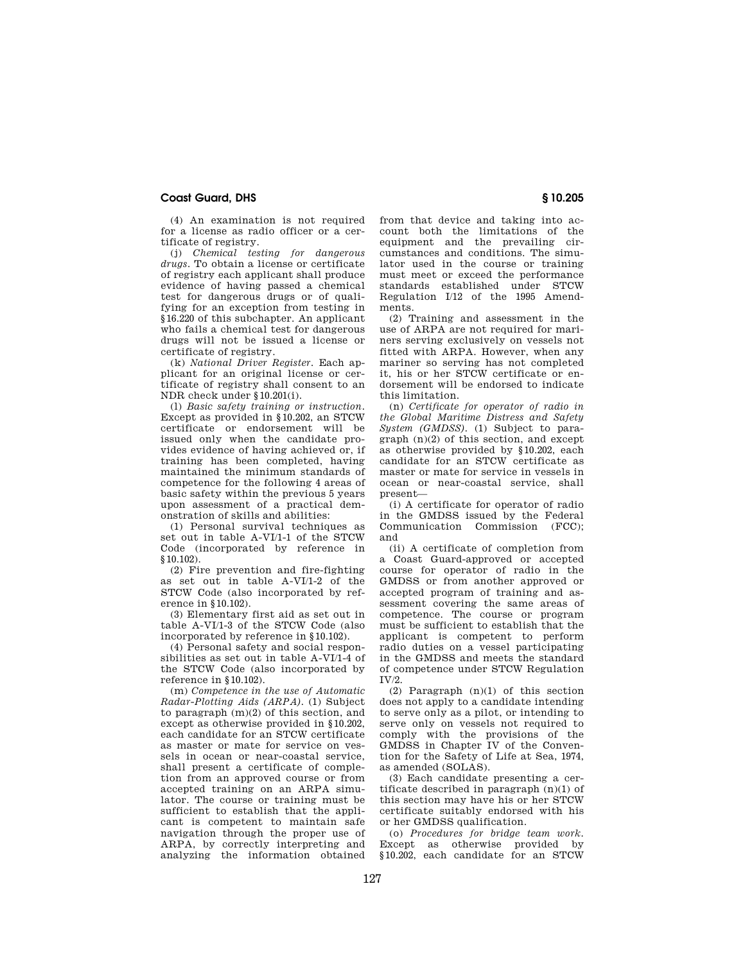## **Coast Guard, DHS § 10.205**

(4) An examination is not required for a license as radio officer or a certificate of registry.

(j) *Chemical testing for dangerous drugs.* To obtain a license or certificate of registry each applicant shall produce evidence of having passed a chemical test for dangerous drugs or of qualifying for an exception from testing in §16.220 of this subchapter. An applicant who fails a chemical test for dangerous drugs will not be issued a license or certificate of registry.

(k) *National Driver Register.* Each applicant for an original license or certificate of registry shall consent to an NDR check under §10.201(i).

(l) *Basic safety training or instruction.*  Except as provided in §10.202, an STCW certificate or endorsement will be issued only when the candidate provides evidence of having achieved or, if training has been completed, having maintained the minimum standards of competence for the following 4 areas of basic safety within the previous 5 years upon assessment of a practical demonstration of skills and abilities:

(1) Personal survival techniques as set out in table A-VI/1-1 of the STCW Code (incorporated by reference in §10.102).

(2) Fire prevention and fire-fighting as set out in table A-VI/1-2 of the STCW Code (also incorporated by reference in §10.102).

(3) Elementary first aid as set out in table A-VI/1-3 of the STCW Code (also incorporated by reference in §10.102).

(4) Personal safety and social responsibilities as set out in table A-VI/1-4 of the STCW Code (also incorporated by reference in §10.102).

(m) *Competence in the use of Automatic Radar-Plotting Aids (ARPA).* (1) Subject to paragraph (m)(2) of this section, and except as otherwise provided in §10.202, each candidate for an STCW certificate as master or mate for service on vessels in ocean or near-coastal service, shall present a certificate of completion from an approved course or from accepted training on an ARPA simulator. The course or training must be sufficient to establish that the applicant is competent to maintain safe navigation through the proper use of ARPA, by correctly interpreting and analyzing the information obtained

from that device and taking into account both the limitations of the equipment and the prevailing circumstances and conditions. The simulator used in the course or training must meet or exceed the performance standards established under STCW Regulation I/12 of the 1995 Amendments.

(2) Training and assessment in the use of ARPA are not required for mariners serving exclusively on vessels not fitted with ARPA. However, when any mariner so serving has not completed it, his or her STCW certificate or endorsement will be endorsed to indicate this limitation.

(n) *Certificate for operator of radio in the Global Maritime Distress and Safety System (GMDSS).* (1) Subject to paragraph (n)(2) of this section, and except as otherwise provided by §10.202, each candidate for an STCW certificate as master or mate for service in vessels in ocean or near-coastal service, shall present—

(i) A certificate for operator of radio in the GMDSS issued by the Federal Communication Commission (FCC); and

(ii) A certificate of completion from a Coast Guard-approved or accepted course for operator of radio in the GMDSS or from another approved or accepted program of training and assessment covering the same areas of competence. The course or program must be sufficient to establish that the applicant is competent to perform radio duties on a vessel participating in the GMDSS and meets the standard of competence under STCW Regulation  $IV/2$ .

(2) Paragraph (n)(1) of this section does not apply to a candidate intending to serve only as a pilot, or intending to serve only on vessels not required to comply with the provisions of the GMDSS in Chapter IV of the Convention for the Safety of Life at Sea, 1974, as amended (SOLAS).

(3) Each candidate presenting a certificate described in paragraph (n)(1) of this section may have his or her STCW certificate suitably endorsed with his or her GMDSS qualification.

(o) *Procedures for bridge team work.*  Except as otherwise provided by §10.202, each candidate for an STCW